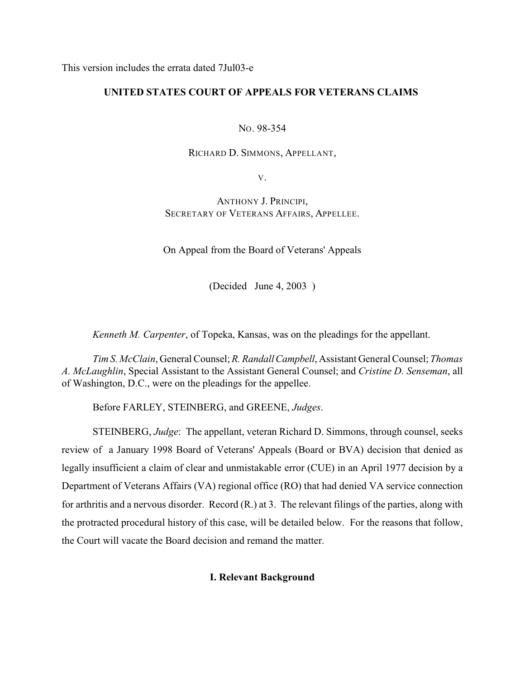This version includes the errata dated 7Jul03-e

# **UNITED STATES COURT OF APPEALS FOR VETERANS CLAIMS**

NO. 98-354

RICHARD D. SIMMONS, APPELLANT,

V.

ANTHONY J. PRINCIPI, SECRETARY OF VETERANS AFFAIRS, APPELLEE.

On Appeal from the Board of Veterans' Appeals

(Decided June 4, 2003 )

*Kenneth M. Carpenter*, of Topeka, Kansas, was on the pleadings for the appellant.

*Tim S. McClain*, General Counsel; *R. Randall Campbell*, Assistant General Counsel; *Thomas A. McLaughlin*, Special Assistant to the Assistant General Counsel; and *Cristine D. Senseman*, all of Washington, D.C., were on the pleadings for the appellee.

Before FARLEY, STEINBERG, and GREENE, *Judges*.

STEINBERG, *Judge*: The appellant, veteran Richard D. Simmons, through counsel, seeks review of a January 1998 Board of Veterans' Appeals (Board or BVA) decision that denied as legally insufficient a claim of clear and unmistakable error (CUE) in an April 1977 decision by a Department of Veterans Affairs (VA) regional office (RO) that had denied VA service connection for arthritis and a nervous disorder. Record (R.) at 3. The relevant filings of the parties, along with the protracted procedural history of this case, will be detailed below. For the reasons that follow, the Court will vacate the Board decision and remand the matter.

## **I. Relevant Background**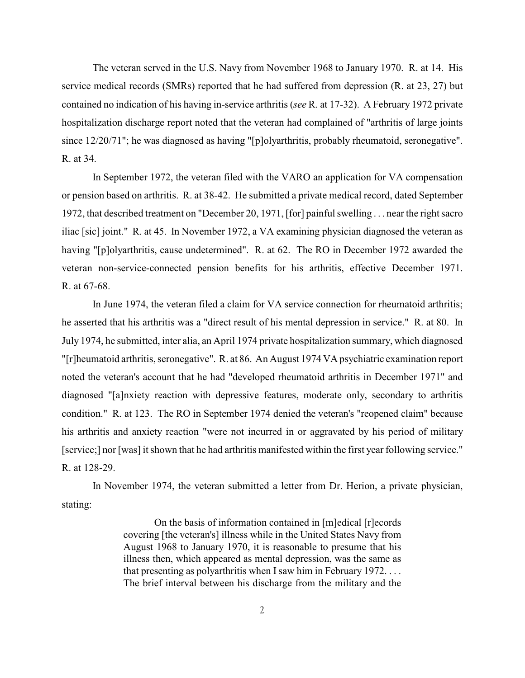The veteran served in the U.S. Navy from November 1968 to January 1970. R. at 14. His service medical records (SMRs) reported that he had suffered from depression (R. at 23, 27) but contained no indication of his having in-service arthritis (*see* R. at 17-32). A February 1972 private hospitalization discharge report noted that the veteran had complained of "arthritis of large joints since 12/20/71"; he was diagnosed as having "[p]olyarthritis, probably rheumatoid, seronegative". R. at 34.

In September 1972, the veteran filed with the VARO an application for VA compensation or pension based on arthritis. R. at 38-42. He submitted a private medical record, dated September 1972, that described treatment on "December 20, 1971, [for] painful swelling . . . near the right sacro iliac [sic] joint." R. at 45. In November 1972, a VA examining physician diagnosed the veteran as having "[p]olyarthritis, cause undetermined". R. at 62. The RO in December 1972 awarded the veteran non-service-connected pension benefits for his arthritis, effective December 1971. R. at 67-68.

In June 1974, the veteran filed a claim for VA service connection for rheumatoid arthritis; he asserted that his arthritis was a "direct result of his mental depression in service." R. at 80. In July 1974, he submitted, inter alia, an April 1974 private hospitalization summary, which diagnosed "[r]heumatoid arthritis, seronegative". R. at 86. An August 1974 VA psychiatric examination report noted the veteran's account that he had "developed rheumatoid arthritis in December 1971" and diagnosed "[a]nxiety reaction with depressive features, moderate only, secondary to arthritis condition." R. at 123. The RO in September 1974 denied the veteran's "reopened claim" because his arthritis and anxiety reaction "were not incurred in or aggravated by his period of military [service;] nor [was] it shown that he had arthritis manifested within the first year following service." R. at 128-29.

In November 1974, the veteran submitted a letter from Dr. Herion, a private physician, stating:

> On the basis of information contained in [m]edical [r]ecords covering [the veteran's] illness while in the United States Navy from August 1968 to January 1970, it is reasonable to presume that his illness then, which appeared as mental depression, was the same as that presenting as polyarthritis when I saw him in February 1972. . . . The brief interval between his discharge from the military and the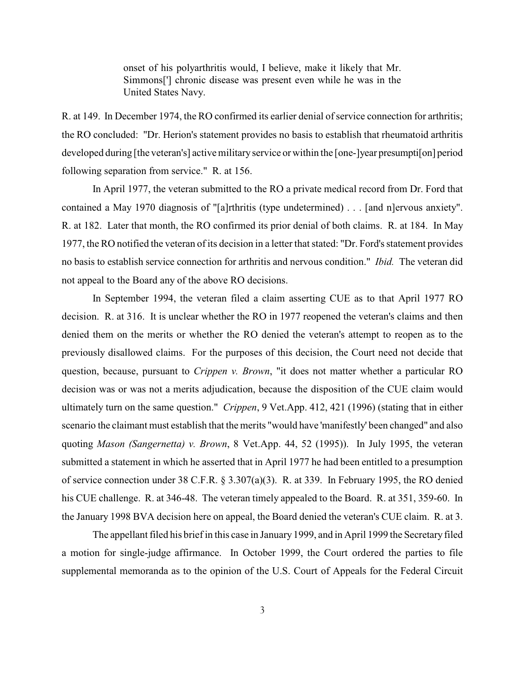onset of his polyarthritis would, I believe, make it likely that Mr. Simmons['] chronic disease was present even while he was in the United States Navy.

R. at 149. In December 1974, the RO confirmed its earlier denial of service connection for arthritis; the RO concluded: "Dr. Herion's statement provides no basis to establish that rheumatoid arthritis developed during [the veteran's] active military service or within the [one-]year presumpti[on] period following separation from service." R. at 156.

In April 1977, the veteran submitted to the RO a private medical record from Dr. Ford that contained a May 1970 diagnosis of "[a]rthritis (type undetermined) . . . [and n]ervous anxiety". R. at 182. Later that month, the RO confirmed its prior denial of both claims. R. at 184. In May 1977, the RO notified the veteran of its decision in a letter that stated: "Dr. Ford's statement provides no basis to establish service connection for arthritis and nervous condition." *Ibid.* The veteran did not appeal to the Board any of the above RO decisions.

In September 1994, the veteran filed a claim asserting CUE as to that April 1977 RO decision. R. at 316. It is unclear whether the RO in 1977 reopened the veteran's claims and then denied them on the merits or whether the RO denied the veteran's attempt to reopen as to the previously disallowed claims. For the purposes of this decision, the Court need not decide that question, because, pursuant to *Crippen v. Brown*, "it does not matter whether a particular RO decision was or was not a merits adjudication, because the disposition of the CUE claim would ultimately turn on the same question." *Crippen*, 9 Vet.App. 412, 421 (1996) (stating that in either scenario the claimant must establish that the merits "would have 'manifestly' been changed" and also quoting *Mason (Sangernetta) v. Brown*, 8 Vet.App. 44, 52 (1995)). In July 1995, the veteran submitted a statement in which he asserted that in April 1977 he had been entitled to a presumption of service connection under 38 C.F.R. § 3.307(a)(3). R. at 339. In February 1995, the RO denied his CUE challenge. R. at 346-48. The veteran timely appealed to the Board. R. at 351, 359-60. In the January 1998 BVA decision here on appeal, the Board denied the veteran's CUE claim. R. at 3.

The appellant filed his brief in this case in January 1999, and in April 1999 the Secretary filed a motion for single-judge affirmance. In October 1999, the Court ordered the parties to file supplemental memoranda as to the opinion of the U.S. Court of Appeals for the Federal Circuit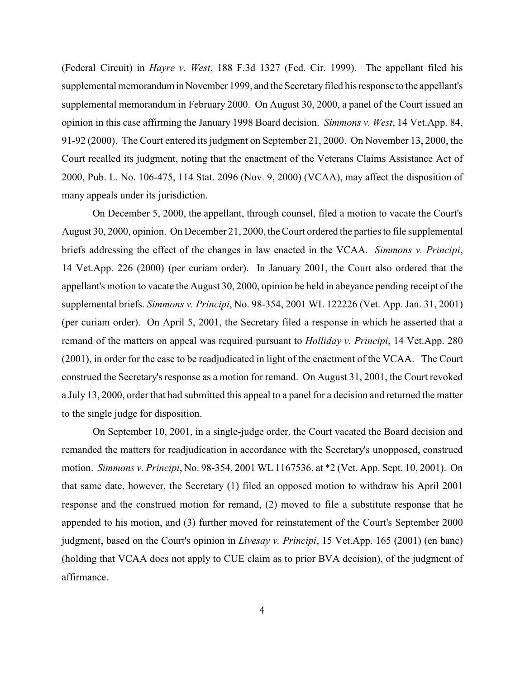(Federal Circuit) in *Hayre v. West*, 188 F.3d 1327 (Fed. Cir. 1999). The appellant filed his supplemental memorandum in November 1999, and the Secretary filed his response to the appellant's supplemental memorandum in February 2000. On August 30, 2000, a panel of the Court issued an opinion in this case affirming the January 1998 Board decision. *Simmons v. West*, 14 Vet.App. 84, 91-92 (2000). The Court entered its judgment on September 21, 2000. On November 13, 2000, the Court recalled its judgment, noting that the enactment of the Veterans Claims Assistance Act of 2000, Pub. L. No. 106-475, 114 Stat. 2096 (Nov. 9, 2000) (VCAA), may affect the disposition of many appeals under its jurisdiction.

On December 5, 2000, the appellant, through counsel, filed a motion to vacate the Court's August 30, 2000, opinion. On December 21, 2000, the Court ordered the parties to file supplemental briefs addressing the effect of the changes in law enacted in the VCAA. *Simmons v. Principi*, 14 Vet.App. 226 (2000) (per curiam order). In January 2001, the Court also ordered that the appellant's motion to vacate the August 30, 2000, opinion be held in abeyance pending receipt of the supplemental briefs. *Simmons v. Principi*, No. 98-354, 2001 WL 122226 (Vet. App. Jan. 31, 2001) (per curiam order). On April 5, 2001, the Secretary filed a response in which he asserted that a remand of the matters on appeal was required pursuant to *Holliday v. Principi*, 14 Vet.App. 280 (2001), in order for the case to be readjudicated in light of the enactment of the VCAA. The Court construed the Secretary's response as a motion for remand. On August 31, 2001, the Court revoked a July 13, 2000, order that had submitted this appeal to a panel for a decision and returned the matter to the single judge for disposition.

On September 10, 2001, in a single-judge order, the Court vacated the Board decision and remanded the matters for readjudication in accordance with the Secretary's unopposed, construed motion. *Simmons v. Principi*, No. 98-354, 2001 WL 1167536, at \*2 (Vet. App. Sept. 10, 2001). On that same date, however, the Secretary (1) filed an opposed motion to withdraw his April 2001 response and the construed motion for remand, (2) moved to file a substitute response that he appended to his motion, and (3) further moved for reinstatement of the Court's September 2000 judgment, based on the Court's opinion in *Livesay v. Principi*, 15 Vet.App. 165 (2001) (en banc) (holding that VCAA does not apply to CUE claim as to prior BVA decision), of the judgment of affirmance.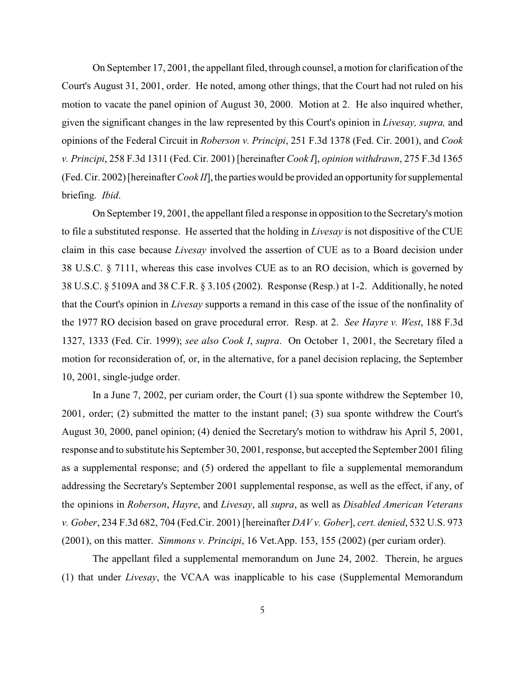On September 17, 2001, the appellant filed, through counsel, a motion for clarification of the Court's August 31, 2001, order. He noted, among other things, that the Court had not ruled on his motion to vacate the panel opinion of August 30, 2000. Motion at 2. He also inquired whether, given the significant changes in the law represented by this Court's opinion in *Livesay, supra,* and opinions of the Federal Circuit in *Roberson v. Principi*, 251 F.3d 1378 (Fed. Cir. 2001), and *Cook v. Principi*, 258 F.3d 1311 (Fed. Cir. 2001) [hereinafter *Cook I*], *opinion withdrawn*, 275 F.3d 1365 (Fed. Cir. 2002) [hereinafter *Cook II*], the parties would be provided an opportunity for supplemental briefing. *Ibid*.

On September 19, 2001, the appellant filed a response in opposition to the Secretary's motion to file a substituted response. He asserted that the holding in *Livesay* is not dispositive of the CUE claim in this case because *Livesay* involved the assertion of CUE as to a Board decision under 38 U.S.C. § 7111, whereas this case involves CUE as to an RO decision, which is governed by 38 U.S.C. § 5109A and 38 C.F.R. § 3.105 (2002). Response (Resp.) at 1-2. Additionally, he noted that the Court's opinion in *Livesay* supports a remand in this case of the issue of the nonfinality of the 1977 RO decision based on grave procedural error. Resp. at 2. *See Hayre v. West*, 188 F.3d 1327, 1333 (Fed. Cir. 1999); *see also Cook I*, *supra*. On October 1, 2001, the Secretary filed a motion for reconsideration of, or, in the alternative, for a panel decision replacing, the September 10, 2001, single-judge order.

In a June 7, 2002, per curiam order, the Court (1) sua sponte withdrew the September 10, 2001, order; (2) submitted the matter to the instant panel; (3) sua sponte withdrew the Court's August 30, 2000, panel opinion; (4) denied the Secretary's motion to withdraw his April 5, 2001, response and to substitute his September 30, 2001, response, but accepted the September 2001 filing as a supplemental response; and (5) ordered the appellant to file a supplemental memorandum addressing the Secretary's September 2001 supplemental response, as well as the effect, if any, of the opinions in *Roberson*, *Hayre*, and *Livesay*, all *supra*, as well as *Disabled American Veterans v. Gober*, 234 F.3d 682, 704 (Fed.Cir. 2001) [hereinafter *DAV v. Gober*], *cert. denied*, 532 U.S. 973 (2001), on this matter. *Simmons v. Principi*, 16 Vet.App. 153, 155 (2002) (per curiam order).

The appellant filed a supplemental memorandum on June 24, 2002. Therein, he argues (1) that under *Livesay*, the VCAA was inapplicable to his case (Supplemental Memorandum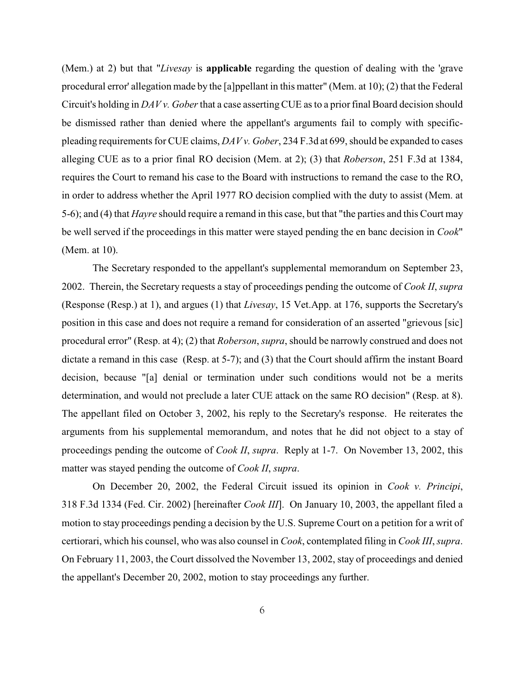(Mem.) at 2) but that "*Livesay* is **applicable** regarding the question of dealing with the 'grave procedural error' allegation made by the [a]ppellant in this matter" (Mem. at 10); (2) that the Federal Circuit's holding in *DAV v. Gober* that a case asserting CUE as to a priorfinal Board decision should be dismissed rather than denied where the appellant's arguments fail to comply with specificpleading requirements for CUE claims, *DAV v. Gober*, 234 F.3d at 699, should be expanded to cases alleging CUE as to a prior final RO decision (Mem. at 2); (3) that *Roberson*, 251 F.3d at 1384, requires the Court to remand his case to the Board with instructions to remand the case to the RO, in order to address whether the April 1977 RO decision complied with the duty to assist (Mem. at 5-6); and (4) that *Hayre* should require a remand in this case, but that "the parties and this Court may be well served if the proceedings in this matter were stayed pending the en banc decision in *Cook*" (Mem. at 10).

The Secretary responded to the appellant's supplemental memorandum on September 23, 2002. Therein, the Secretary requests a stay of proceedings pending the outcome of *Cook II*, *supra* (Response (Resp.) at 1), and argues (1) that *Livesay*, 15 Vet.App. at 176, supports the Secretary's position in this case and does not require a remand for consideration of an asserted "grievous [sic] procedural error" (Resp. at 4); (2) that *Roberson*, *supra*, should be narrowly construed and does not dictate a remand in this case (Resp. at 5-7); and (3) that the Court should affirm the instant Board decision, because "[a] denial or termination under such conditions would not be a merits determination, and would not preclude a later CUE attack on the same RO decision" (Resp. at 8). The appellant filed on October 3, 2002, his reply to the Secretary's response. He reiterates the arguments from his supplemental memorandum, and notes that he did not object to a stay of proceedings pending the outcome of *Cook II*, *supra*. Reply at 1-7. On November 13, 2002, this matter was stayed pending the outcome of *Cook II*, *supra*.

On December 20, 2002, the Federal Circuit issued its opinion in *Cook v. Principi*, 318 F.3d 1334 (Fed. Cir. 2002) [hereinafter *Cook III*]. On January 10, 2003, the appellant filed a motion to stay proceedings pending a decision by the U.S. Supreme Court on a petition for a writ of certiorari, which his counsel, who was also counsel in *Cook*, contemplated filing in *Cook III*, *supra*. On February 11, 2003, the Court dissolved the November 13, 2002, stay of proceedings and denied the appellant's December 20, 2002, motion to stay proceedings any further.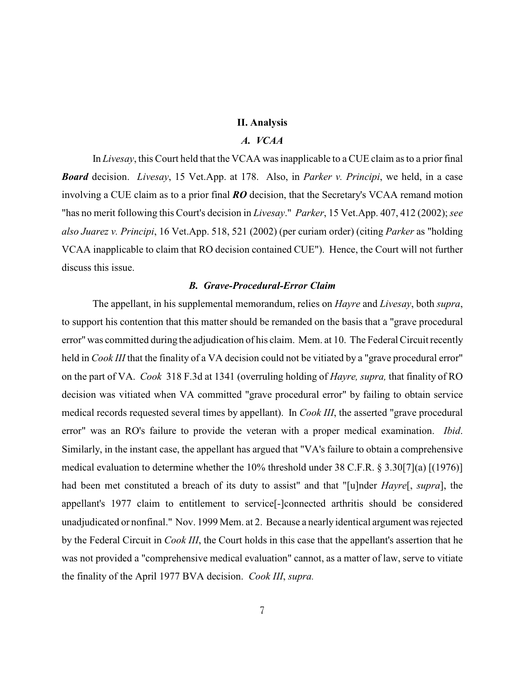### **II. Analysis**

# *A. VCAA*

In *Livesay*, this Court held that the VCAA was inapplicable to a CUE claim as to a prior final *Board* decision. *Livesay*, 15 Vet.App. at 178. Also, in *Parker v. Principi*, we held, in a case involving a CUE claim as to a prior final *RO* decision, that the Secretary's VCAA remand motion "has no merit following this Court's decision in *Livesay*." *Parker*, 15 Vet.App. 407, 412 (2002); *see also Juarez v. Principi*, 16 Vet.App. 518, 521 (2002) (per curiam order) (citing *Parker* as "holding VCAA inapplicable to claim that RO decision contained CUE"). Hence, the Court will not further discuss this issue.

#### *B. Grave-Procedural-Error Claim*

The appellant, in his supplemental memorandum, relies on *Hayre* and *Livesay*, both *supra*, to support his contention that this matter should be remanded on the basis that a "grave procedural error" was committed during the adjudication of his claim. Mem. at 10. The Federal Circuit recently held in *Cook III* that the finality of a VA decision could not be vitiated by a "grave procedural error" on the part of VA. *Cook* 318 F.3d at 1341 (overruling holding of *Hayre, supra,* that finality of RO decision was vitiated when VA committed "grave procedural error" by failing to obtain service medical records requested several times by appellant). In *Cook III*, the asserted "grave procedural error" was an RO's failure to provide the veteran with a proper medical examination. *Ibid*. Similarly, in the instant case, the appellant has argued that "VA's failure to obtain a comprehensive medical evaluation to determine whether the 10% threshold under 38 C.F.R. § 3.30[7](a) [(1976)] had been met constituted a breach of its duty to assist" and that "[u]nder *Hayre*[, *supra*], the appellant's 1977 claim to entitlement to service[-]connected arthritis should be considered unadjudicated or nonfinal." Nov. 1999 Mem. at 2. Because a nearly identical argument was rejected by the Federal Circuit in *Cook III*, the Court holds in this case that the appellant's assertion that he was not provided a "comprehensive medical evaluation" cannot, as a matter of law, serve to vitiate the finality of the April 1977 BVA decision. *Cook III*, *supra.*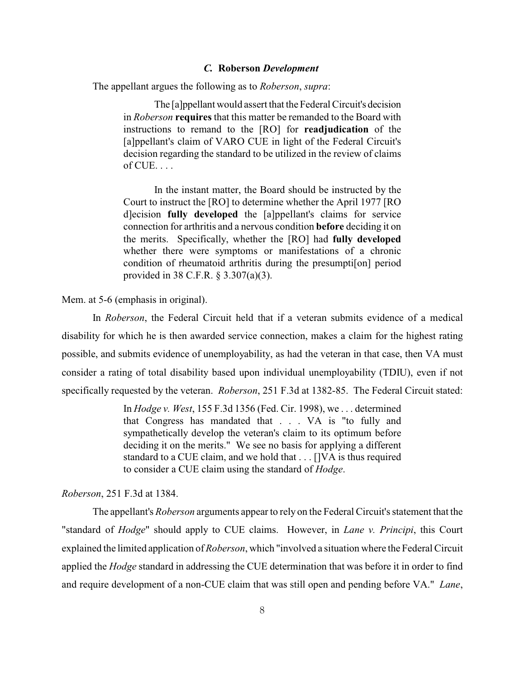#### *C.* **Roberson** *Development*

The appellant argues the following as to *Roberson*, *supra*:

The [a]ppellant would assert that the Federal Circuit's decision in *Roberson* **requires** that this matter be remanded to the Board with instructions to remand to the [RO] for **readjudication** of the [a]ppellant's claim of VARO CUE in light of the Federal Circuit's decision regarding the standard to be utilized in the review of claims  $of CUE. \ldots$ 

In the instant matter, the Board should be instructed by the Court to instruct the [RO] to determine whether the April 1977 [RO d]ecision **fully developed** the [a]ppellant's claims for service connection for arthritis and a nervous condition **before** deciding it on the merits. Specifically, whether the [RO] had **fully developed** whether there were symptoms or manifestations of a chronic condition of rheumatoid arthritis during the presumpti[on] period provided in 38 C.F.R. § 3.307(a)(3).

Mem. at 5-6 (emphasis in original).

In *Roberson*, the Federal Circuit held that if a veteran submits evidence of a medical disability for which he is then awarded service connection, makes a claim for the highest rating possible, and submits evidence of unemployability, as had the veteran in that case, then VA must consider a rating of total disability based upon individual unemployability (TDIU), even if not specifically requested by the veteran. *Roberson*, 251 F.3d at 1382-85. The Federal Circuit stated:

> In *Hodge v. West*, 155 F.3d 1356 (Fed. Cir. 1998), we . . . determined that Congress has mandated that . . . VA is "to fully and sympathetically develop the veteran's claim to its optimum before deciding it on the merits." We see no basis for applying a different standard to a CUE claim, and we hold that . . . []VA is thus required to consider a CUE claim using the standard of *Hodge*.

## *Roberson*, 251 F.3d at 1384.

The appellant's *Roberson* arguments appear to rely on the Federal Circuit's statement that the "standard of *Hodge*" should apply to CUE claims. However, in *Lane v. Principi*, this Court explained the limited application of *Roberson*, which "involved a situation where the Federal Circuit applied the *Hodge* standard in addressing the CUE determination that was before it in order to find and require development of a non-CUE claim that was still open and pending before VA." *Lane*,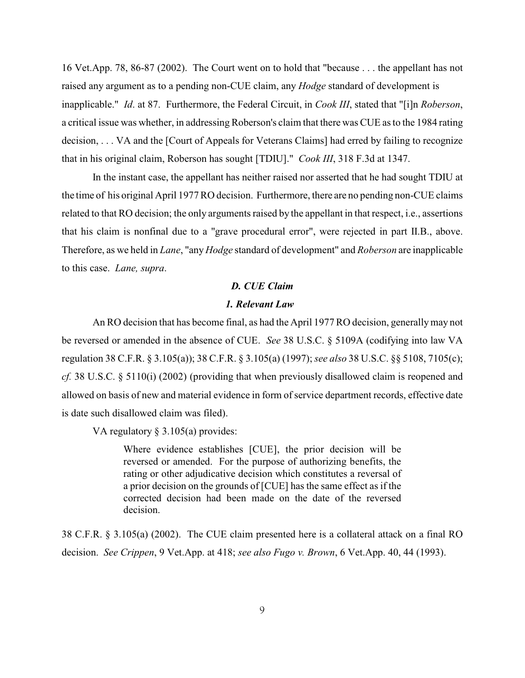16 Vet.App. 78, 86-87 (2002). The Court went on to hold that "because . . . the appellant has not raised any argument as to a pending non-CUE claim, any *Hodge* standard of development is inapplicable." *Id*. at 87. Furthermore, the Federal Circuit, in *Cook III*, stated that "[i]n *Roberson*, a critical issue was whether, in addressing Roberson's claim that there was CUE as to the 1984 rating decision, . . . VA and the [Court of Appeals for Veterans Claims] had erred by failing to recognize that in his original claim, Roberson has sought [TDIU]." *Cook III*, 318 F.3d at 1347.

In the instant case, the appellant has neither raised nor asserted that he had sought TDIU at the time of his original April 1977RO decision. Furthermore, there are no pending non-CUE claims related to that RO decision; the only arguments raised by the appellant in that respect, i.e., assertions that his claim is nonfinal due to a "grave procedural error", were rejected in part II.B., above. Therefore, as we held in *Lane*, "any *Hodge* standard of development" and *Roberson* are inapplicable to this case. *Lane, supra*.

#### *D. CUE Claim*

#### *1. Relevant Law*

An RO decision that has become final, as had the April 1977 RO decision, generally may not be reversed or amended in the absence of CUE. *See* 38 U.S.C. § 5109A (codifying into law VA regulation 38 C.F.R. § 3.105(a)); 38 C.F.R. § 3.105(a) (1997);*see also* 38 U.S.C. §§ 5108, 7105(c); *cf.* 38 U.S.C. § 5110(i) (2002) (providing that when previously disallowed claim is reopened and allowed on basis of new and material evidence in form of service department records, effective date is date such disallowed claim was filed).

VA regulatory § 3.105(a) provides:

Where evidence establishes [CUE], the prior decision will be reversed or amended. For the purpose of authorizing benefits, the rating or other adjudicative decision which constitutes a reversal of a prior decision on the grounds of [CUE] has the same effect as if the corrected decision had been made on the date of the reversed decision.

38 C.F.R. § 3.105(a) (2002). The CUE claim presented here is a collateral attack on a final RO decision. *See Crippen*, 9 Vet.App. at 418; *see also Fugo v. Brown*, 6 Vet.App. 40, 44 (1993).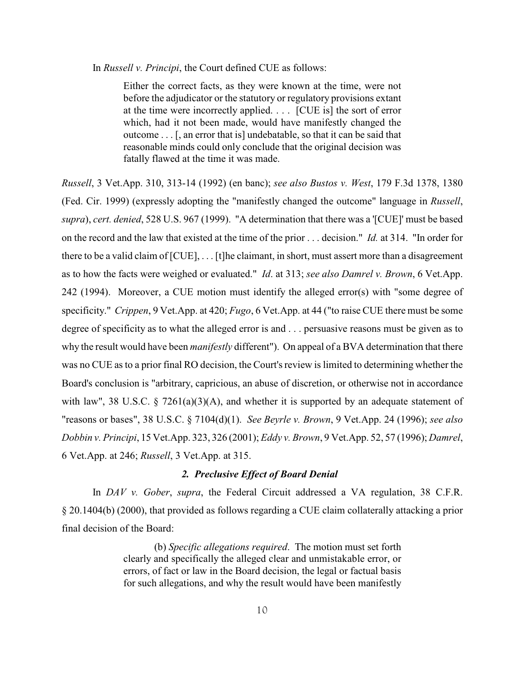In *Russell v. Principi*, the Court defined CUE as follows:

Either the correct facts, as they were known at the time, were not before the adjudicator or the statutory or regulatory provisions extant at the time were incorrectly applied. . . . [CUE is] the sort of error which, had it not been made, would have manifestly changed the outcome . . . [, an error that is] undebatable, so that it can be said that reasonable minds could only conclude that the original decision was fatally flawed at the time it was made.

*Russell*, 3 Vet.App. 310, 313-14 (1992) (en banc); *see also Bustos v. West*, 179 F.3d 1378, 1380 (Fed. Cir. 1999) (expressly adopting the "manifestly changed the outcome" language in *Russell*, *supra*), *cert. denied*, 528 U.S. 967 (1999). "A determination that there was a '[CUE]' must be based on the record and the law that existed at the time of the prior . . . decision." *Id.* at 314. "In order for there to be a valid claim of [CUE], . . . [t]he claimant, in short, must assert more than a disagreement as to how the facts were weighed or evaluated." *Id*. at 313; *see also Damrel v. Brown*, 6 Vet.App. 242 (1994). Moreover, a CUE motion must identify the alleged error(s) with "some degree of specificity." *Crippen*, 9 Vet.App. at 420; *Fugo*, 6 Vet.App. at 44 ("to raise CUE there must be some degree of specificity as to what the alleged error is and . . . persuasive reasons must be given as to why the result would have been *manifestly* different"). On appeal of a BVA determination that there was no CUE as to a prior final RO decision, the Court's review is limited to determining whether the Board's conclusion is "arbitrary, capricious, an abuse of discretion, or otherwise not in accordance with law", 38 U.S.C.  $\S$  7261(a)(3)(A), and whether it is supported by an adequate statement of "reasons or bases", 38 U.S.C. § 7104(d)(1). *See Beyrle v. Brown*, 9 Vet.App. 24 (1996); *see also Dobbin v. Principi*, 15 Vet.App. 323, 326 (2001); *Eddy v. Brown*, 9 Vet.App. 52, 57 (1996); *Damrel*, 6 Vet.App. at 246; *Russell*, 3 Vet.App. at 315.

## *2. Preclusive Effect of Board Denial*

In *DAV v. Gober*, *supra*, the Federal Circuit addressed a VA regulation, 38 C.F.R. § 20.1404(b) (2000), that provided as follows regarding a CUE claim collaterally attacking a prior final decision of the Board:

> (b) *Specific allegations required*. The motion must set forth clearly and specifically the alleged clear and unmistakable error, or errors, of fact or law in the Board decision, the legal or factual basis for such allegations, and why the result would have been manifestly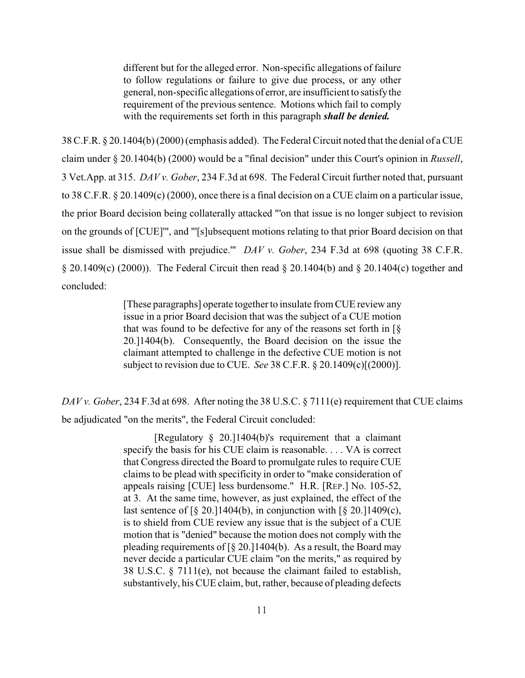different but for the alleged error. Non-specific allegations of failure to follow regulations or failure to give due process, or any other general, non-specific allegations of error, are insufficient to satisfy the requirement of the previous sentence. Motions which fail to comply with the requirements set forth in this paragraph *shall be denied.*

38 C.F.R. § 20.1404(b) (2000) (emphasis added). The Federal Circuit noted that the denial of a CUE claim under § 20.1404(b) (2000) would be a "final decision" under this Court's opinion in *Russell*, 3 Vet.App. at 315. *DAV v. Gober*, 234 F.3d at 698. The Federal Circuit further noted that, pursuant to 38 C.F.R. § 20.1409(c) (2000), once there is a final decision on a CUE claim on a particular issue, the prior Board decision being collaterally attacked "'on that issue is no longer subject to revision on the grounds of [CUE]'", and "'[s]ubsequent motions relating to that prior Board decision on that issue shall be dismissed with prejudice.'" *DAV v. Gober*, 234 F.3d at 698 (quoting 38 C.F.R. § 20.1409(c) (2000)). The Federal Circuit then read § 20.1404(b) and § 20.1404(c) together and concluded:

> [These paragraphs] operate together to insulate from CUE review any issue in a prior Board decision that was the subject of a CUE motion that was found to be defective for any of the reasons set forth in  $\lceil \S \rceil$ 20.]1404(b). Consequently, the Board decision on the issue the claimant attempted to challenge in the defective CUE motion is not subject to revision due to CUE. *See* 38 C.F.R. § 20.1409(c)[(2000)].

*DAV v. Gober*, 234 F.3d at 698. After noting the 38 U.S.C. § 7111(e) requirement that CUE claims be adjudicated "on the merits", the Federal Circuit concluded:

> [Regulatory § 20.]1404(b)'s requirement that a claimant specify the basis for his CUE claim is reasonable. . . . VA is correct that Congress directed the Board to promulgate rules to require CUE claims to be plead with specificity in order to "make consideration of appeals raising [CUE] less burdensome." H.R. [REP.] No. 105-52, at 3. At the same time, however, as just explained, the effect of the last sentence of  $\S$  20.]1404(b), in conjunction with  $\S$  20.]1409(c), is to shield from CUE review any issue that is the subject of a CUE motion that is "denied" because the motion does not comply with the pleading requirements of  $\lceil \frac{8}{20} \rceil$  20.] 1404(b). As a result, the Board may never decide a particular CUE claim "on the merits," as required by 38 U.S.C. § 7111(e), not because the claimant failed to establish, substantively, his CUE claim, but, rather, because of pleading defects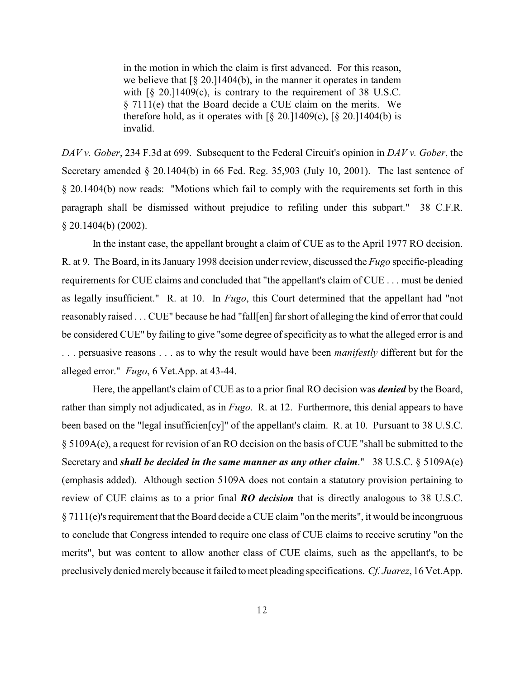in the motion in which the claim is first advanced. For this reason, we believe that  $\lceil \S 20.11404(b) \rceil$ , in the manner it operates in tandem with  $\lceil \S$  20.11409(c), is contrary to the requirement of 38 U.S.C. § 7111(e) that the Board decide a CUE claim on the merits. We therefore hold, as it operates with  $\lceil \frac{6}{5} \rceil 20.11409(c)$ ,  $\lceil \frac{6}{5} \rceil 20.11404(b)$  is invalid.

*DAV v. Gober*, 234 F.3d at 699. Subsequent to the Federal Circuit's opinion in *DAV v. Gober*, the Secretary amended § 20.1404(b) in 66 Fed. Reg. 35,903 (July 10, 2001). The last sentence of § 20.1404(b) now reads: "Motions which fail to comply with the requirements set forth in this paragraph shall be dismissed without prejudice to refiling under this subpart." 38 C.F.R. § 20.1404(b) (2002).

In the instant case, the appellant brought a claim of CUE as to the April 1977 RO decision. R. at 9. The Board, in its January 1998 decision under review, discussed the *Fugo* specific-pleading requirements for CUE claims and concluded that "the appellant's claim of CUE . . . must be denied as legally insufficient." R. at 10. In *Fugo*, this Court determined that the appellant had "not reasonably raised . . . CUE" because he had "fall[en] far short of alleging the kind of error that could be considered CUE" by failing to give "some degree of specificity as to what the alleged error is and . . . persuasive reasons . . . as to why the result would have been *manifestly* different but for the alleged error." *Fugo*, 6 Vet.App. at 43-44.

Here, the appellant's claim of CUE as to a prior final RO decision was *denied* by the Board, rather than simply not adjudicated, as in *Fugo*. R. at 12. Furthermore, this denial appears to have been based on the "legal insufficien[cy]" of the appellant's claim. R. at 10. Pursuant to 38 U.S.C. § 5109A(e), a request for revision of an RO decision on the basis of CUE "shall be submitted to the Secretary and *shall be decided in the same manner as any other claim*." 38 U.S.C. § 5109A(e) (emphasis added). Although section 5109A does not contain a statutory provision pertaining to review of CUE claims as to a prior final *RO decision* that is directly analogous to 38 U.S.C. § 7111(e)'s requirement that the Board decide a CUE claim "on the merits", it would be incongruous to conclude that Congress intended to require one class of CUE claims to receive scrutiny "on the merits", but was content to allow another class of CUE claims, such as the appellant's, to be preclusively denied merely because it failed to meet pleading specifications. *Cf. Juarez*, 16 Vet.App.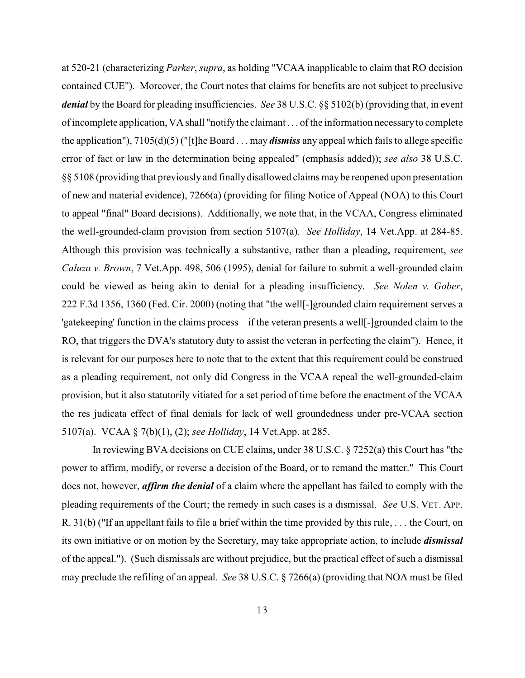at 520-21 (characterizing *Parker*, *supra*, as holding "VCAA inapplicable to claim that RO decision contained CUE"). Moreover, the Court notes that claims for benefits are not subject to preclusive *denial* by the Board for pleading insufficiencies. *See* 38 U.S.C. §§ 5102(b) (providing that, in event of incomplete application, VAshall "notifythe claimant . . . of the information necessary to complete the application"), 7105(d)(5) ("[t]he Board . . . may *dismiss* any appeal which fails to allege specific error of fact or law in the determination being appealed" (emphasis added)); *see also* 38 U.S.C. §§ 5108 (providing that previously and finally disallowed claims may be reopened upon presentation of new and material evidence), 7266(a) (providing for filing Notice of Appeal (NOA) to this Court to appeal "final" Board decisions). Additionally, we note that, in the VCAA, Congress eliminated the well-grounded-claim provision from section 5107(a). *See Holliday*, 14 Vet.App. at 284-85. Although this provision was technically a substantive, rather than a pleading, requirement, *see Caluza v. Brown*, 7 Vet.App. 498, 506 (1995), denial for failure to submit a well-grounded claim could be viewed as being akin to denial for a pleading insufficiency. *See Nolen v. Gober*, 222 F.3d 1356, 1360 (Fed. Cir. 2000) (noting that "the well[-]grounded claim requirement serves a 'gatekeeping' function in the claims process – if the veteran presents a well[-]grounded claim to the RO, that triggers the DVA's statutory duty to assist the veteran in perfecting the claim"). Hence, it is relevant for our purposes here to note that to the extent that this requirement could be construed as a pleading requirement, not only did Congress in the VCAA repeal the well-grounded-claim provision, but it also statutorily vitiated for a set period of time before the enactment of the VCAA the res judicata effect of final denials for lack of well groundedness under pre-VCAA section 5107(a). VCAA § 7(b)(1), (2); *see Holliday*, 14 Vet.App. at 285.

In reviewing BVA decisions on CUE claims, under 38 U.S.C. § 7252(a) this Court has "the power to affirm, modify, or reverse a decision of the Board, or to remand the matter." This Court does not, however, *affirm the denial* of a claim where the appellant has failed to comply with the pleading requirements of the Court; the remedy in such cases is a dismissal. *See* U.S. VET. APP. R. 31(b) ("If an appellant fails to file a brief within the time provided by this rule, . . . the Court, on its own initiative or on motion by the Secretary, may take appropriate action, to include *dismissal* of the appeal."). (Such dismissals are without prejudice, but the practical effect of such a dismissal may preclude the refiling of an appeal. *See* 38 U.S.C. § 7266(a) (providing that NOA must be filed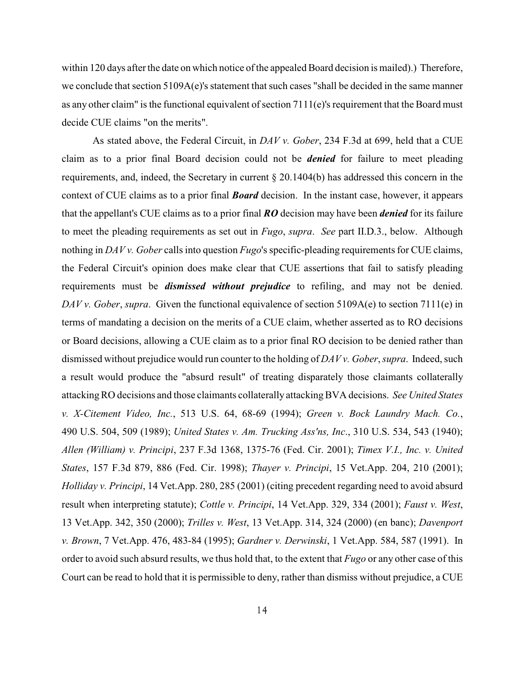within 120 days after the date on which notice of the appealed Board decision is mailed).) Therefore, we conclude that section 5109A(e)'s statement that such cases "shall be decided in the same manner as any other claim" is the functional equivalent of section  $7111(e)$ 's requirement that the Board must decide CUE claims "on the merits".

As stated above, the Federal Circuit, in *DAV v. Gober*, 234 F.3d at 699, held that a CUE claim as to a prior final Board decision could not be *denied* for failure to meet pleading requirements, and, indeed, the Secretary in current § 20.1404(b) has addressed this concern in the context of CUE claims as to a prior final *Board* decision. In the instant case, however, it appears that the appellant's CUE claims as to a prior final *RO* decision may have been *denied* for its failure to meet the pleading requirements as set out in *Fugo*, *supra*. *See* part II.D.3., below. Although nothing in *DAV v. Gober* calls into question *Fugo*'s specific-pleading requirements for CUE claims, the Federal Circuit's opinion does make clear that CUE assertions that fail to satisfy pleading requirements must be *dismissed without prejudice* to refiling, and may not be denied. *DAV v. Gober*, *supra*. Given the functional equivalence of section 5109A(e) to section 7111(e) in terms of mandating a decision on the merits of a CUE claim, whether asserted as to RO decisions or Board decisions, allowing a CUE claim as to a prior final RO decision to be denied rather than dismissed without prejudice would run counter to the holding of *DAV v. Gober*, *supra*. Indeed, such a result would produce the "absurd result" of treating disparately those claimants collaterally attackingRO decisions and those claimants collaterally attackingBVA decisions. *See United States v. X-Citement Video, Inc.*, 513 U.S. 64, 68-69 (1994); *Green v. Bock Laundry Mach. Co.*, 490 U.S. 504, 509 (1989); *United States v. Am. Trucking Ass'ns, Inc*., 310 U.S. 534, 543 (1940); *Allen (William) v. Principi*, 237 F.3d 1368, 1375-76 (Fed. Cir. 2001); *Timex V.I., Inc. v. United States*, 157 F.3d 879, 886 (Fed. Cir. 1998); *Thayer v. Principi*, 15 Vet.App. 204, 210 (2001); *Holliday v. Principi*, 14 Vet.App. 280, 285 (2001) (citing precedent regarding need to avoid absurd result when interpreting statute); *Cottle v. Principi*, 14 Vet.App. 329, 334 (2001); *Faust v. West*, 13 Vet.App. 342, 350 (2000); *Trilles v. West*, 13 Vet.App. 314, 324 (2000) (en banc); *Davenport v. Brown*, 7 Vet.App. 476, 483-84 (1995); *Gardner v. Derwinski*, 1 Vet.App. 584, 587 (1991). In order to avoid such absurd results, we thus hold that, to the extent that *Fugo* or any other case of this Court can be read to hold that it is permissible to deny, rather than dismiss without prejudice, a CUE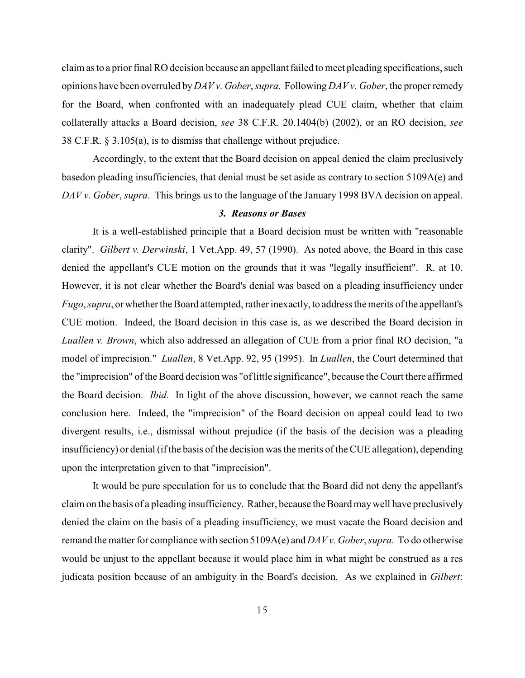claim as to a prior final RO decision because an appellant failed to meet pleading specifications, such opinions have been overruled by *DAV v. Gober*, *supra*. Following *DAV v. Gober*, the proper remedy for the Board, when confronted with an inadequately plead CUE claim, whether that claim collaterally attacks a Board decision, *see* 38 C.F.R. 20.1404(b) (2002), or an RO decision, *see* 38 C.F.R. § 3.105(a), is to dismiss that challenge without prejudice.

Accordingly, to the extent that the Board decision on appeal denied the claim preclusively basedon pleading insufficiencies, that denial must be set aside as contrary to section 5109A(e) and *DAV v. Gober*, *supra*. This brings us to the language of the January 1998 BVA decision on appeal.

## *3. Reasons or Bases*

It is a well-established principle that a Board decision must be written with "reasonable clarity". *Gilbert v. Derwinski*, 1 Vet.App. 49, 57 (1990). As noted above, the Board in this case denied the appellant's CUE motion on the grounds that it was "legally insufficient". R. at 10. However, it is not clear whether the Board's denial was based on a pleading insufficiency under *Fugo*, *supra*, or whether the Board attempted, rather inexactly, to address the merits of the appellant's CUE motion. Indeed, the Board decision in this case is, as we described the Board decision in *Luallen v. Brown*, which also addressed an allegation of CUE from a prior final RO decision, "a model of imprecision." *Luallen*, 8 Vet.App. 92, 95 (1995). In *Luallen*, the Court determined that the "imprecision" of the Board decision was "oflittle significance", because the Court there affirmed the Board decision. *Ibid.* In light of the above discussion, however, we cannot reach the same conclusion here. Indeed, the "imprecision" of the Board decision on appeal could lead to two divergent results, i.e., dismissal without prejudice (if the basis of the decision was a pleading insufficiency) or denial (if the basis of the decision was the merits of the CUE allegation), depending upon the interpretation given to that "imprecision".

It would be pure speculation for us to conclude that the Board did not deny the appellant's claim on the basis of a pleading insufficiency. Rather, because the Board may well have preclusively denied the claim on the basis of a pleading insufficiency, we must vacate the Board decision and remand the matter for compliance with section 5109A(e) and *DAV v. Gober*, *supra*. To do otherwise would be unjust to the appellant because it would place him in what might be construed as a res judicata position because of an ambiguity in the Board's decision. As we explained in *Gilbert*: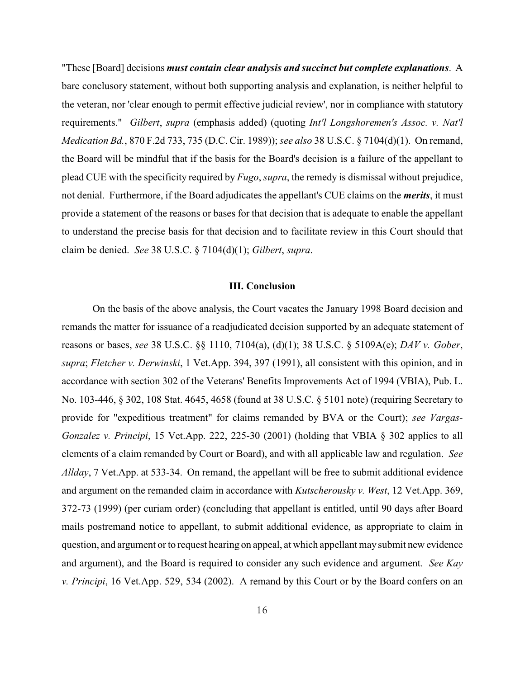"These [Board] decisions *must contain clear analysis and succinct but complete explanations*. A bare conclusory statement, without both supporting analysis and explanation, is neither helpful to the veteran, nor 'clear enough to permit effective judicial review', nor in compliance with statutory requirements." *Gilbert*, *supra* (emphasis added) (quoting *Int'l Longshoremen's Assoc. v. Nat'l Medication Bd.*, 870 F.2d 733, 735 (D.C. Cir. 1989));*see also* 38 U.S.C. § 7104(d)(1). On remand, the Board will be mindful that if the basis for the Board's decision is a failure of the appellant to plead CUE with the specificity required by *Fugo*, *supra*, the remedy is dismissal without prejudice, not denial. Furthermore, if the Board adjudicates the appellant's CUE claims on the *merits*, it must provide a statement of the reasons or bases for that decision that is adequate to enable the appellant to understand the precise basis for that decision and to facilitate review in this Court should that claim be denied. *See* 38 U.S.C. § 7104(d)(1); *Gilbert*, *supra*.

#### **III. Conclusion**

On the basis of the above analysis, the Court vacates the January 1998 Board decision and remands the matter for issuance of a readjudicated decision supported by an adequate statement of reasons or bases, *see* 38 U.S.C. §§ 1110, 7104(a), (d)(1); 38 U.S.C. § 5109A(e); *DAV v. Gober*, *supra*; *Fletcher v. Derwinski*, 1 Vet.App. 394, 397 (1991), all consistent with this opinion, and in accordance with section 302 of the Veterans' Benefits Improvements Act of 1994 (VBIA), Pub. L. No. 103-446, § 302, 108 Stat. 4645, 4658 (found at 38 U.S.C. § 5101 note) (requiring Secretary to provide for "expeditious treatment" for claims remanded by BVA or the Court); *see Vargas-Gonzalez v. Principi*, 15 Vet.App. 222, 225-30 (2001) (holding that VBIA § 302 applies to all elements of a claim remanded by Court or Board), and with all applicable law and regulation. *See Allday*, 7 Vet.App. at 533-34. On remand, the appellant will be free to submit additional evidence and argument on the remanded claim in accordance with *Kutscherousky v. West*, 12 Vet.App. 369, 372-73 (1999) (per curiam order) (concluding that appellant is entitled, until 90 days after Board mails postremand notice to appellant, to submit additional evidence, as appropriate to claim in question, and argument or to request hearing on appeal, at which appellant may submit new evidence and argument), and the Board is required to consider any such evidence and argument. *See Kay v. Principi*, 16 Vet.App. 529, 534 (2002). A remand by this Court or by the Board confers on an